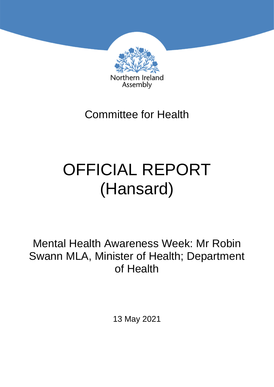

Committee for Health

# OFFICIAL REPORT (Hansard)

Mental Health Awareness Week: Mr Robin Swann MLA, Minister of Health; Department of Health

13 May 2021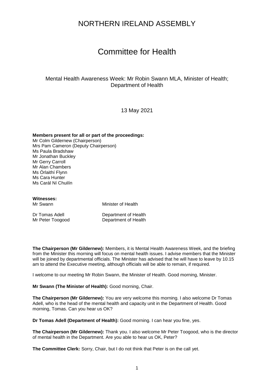### NORTHERN IRELAND ASSEMBLY

## Committee for Health

#### Mental Health Awareness Week: Mr Robin Swann MLA, Minister of Health; Department of Health

13 May 2021

#### **Members present for all or part of the proceedings:**

Mr Colm Gildernew (Chairperson) Mrs Pam Cameron (Deputy Chairperson) Ms Paula Bradshaw Mr Jonathan Buckley Mr Gerry Carroll Mr Alan Chambers Ms Órlaithí Flynn Ms Cara Hunter Ms Carál Ní Chuilín

**Witnesses:**

Minister of Health

Dr Tomas Adell **Department of Health**<br>Mr Peter Toogood **Department of Health** Department of Health

**The Chairperson (Mr Gildernew):** Members, it is Mental Health Awareness Week, and the briefing from the Minister this morning will focus on mental health issues. I advise members that the Minister will be joined by departmental officials. The Minister has advised that he will have to leave by 10.15 am to attend the Executive meeting, although officials will be able to remain, if required.

I welcome to our meeting Mr Robin Swann, the Minister of Health. Good morning, Minister.

**Mr Swann (The Minister of Health):** Good morning, Chair.

**The Chairperson (Mr Gildernew):** You are very welcome this morning. I also welcome Dr Tomas Adell, who is the head of the mental health and capacity unit in the Department of Health. Good morning, Tomas. Can you hear us OK?

**Dr Tomas Adell (Department of Health):** Good morning. I can hear you fine, yes.

**The Chairperson (Mr Gildernew):** Thank you. I also welcome Mr Peter Toogood, who is the director of mental health in the Department. Are you able to hear us OK, Peter?

**The Committee Clerk:** Sorry, Chair, but I do not think that Peter is on the call yet.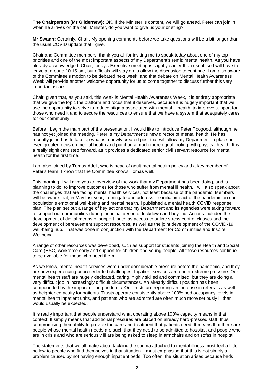**The Chairperson (Mr Gildernew):** OK. If the Minister is content, we will go ahead. Peter can join in when he arrives on the call. Minister, do you want to give us your briefing?

**Mr Swann:** Certainly, Chair. My opening comments before we take questions will be a bit longer than the usual COVID update that I give.

Chair and Committee members, thank you all for inviting me to speak today about one of my top priorities and one of the most important aspects of my Department's remit: mental health. As you have already acknowledged, Chair, today's Executive meeting is slightly earlier than usual, so I will have to leave at around 10.15 am, but officials will stay on to allow the discussion to continue. I am also aware of the Committee's motion to be debated next week, and that debate on Mental Health Awareness Week will provide another welcome opportunity for us to come together to discuss further this very important issue.

Chair, given that, as you said, this week is Mental Health Awareness Week, it is entirely appropriate that we give the topic the platform and focus that it deserves, because it is hugely important that we use the opportunity to strive to reduce stigma associated with mental ill health, to improve support for those who need it and to secure the resources to ensure that we have a system that adequately cares for our community.

Before I begin the main part of the presentation, I would like to introduce Peter Toogood, although he has not yet joined the meeting. Peter is my Department's new director of mental health. He has recently joined us to take up what is a newly created post that will allow my Department to place an even greater focus on mental health and put it on a much more equal footing with physical health. It is a really significant step forward, as it provides a dedicated senior civil servant resource for mental health for the first time.

I am also joined by Tomas Adell, who is head of adult mental health policy and a key member of Peter's team. I know that the Committee knows Tomas well.

This morning, I will give you an overview of the work that my Department has been doing, and is planning to do, to improve outcomes for those who suffer from mental ill health. I will also speak about the challenges that are facing mental health services, not least because of the pandemic. Members will be aware that, in May last year, to mitigate and address the initial impact of the pandemic on our population's emotional well-being and mental health, I published a mental health COVID response plan. The plan set out a range of key actions that my Department and its agencies were taking forward to support our communities during the initial period of lockdown and beyond. Actions included the development of digital means of support, such as access to online stress control classes and the development of bereavement support resources, as well as the joint development of the COVID-19 well-being hub. That was done in conjunction with the Department for Communities and Inspire Wellbeing.

A range of other resources was developed, such as support for students joining the Health and Social Care (HSC) workforce early and support for children and young people. All those resources continue to be available for those who need them.

As we know, mental health services were under considerable pressure before the pandemic, and they are now experiencing unprecedented challenges. Inpatient services are under extreme pressure. Our mental health staff are hugely dedicated, caring, highly skilled and committed, but they are doing a very difficult job in increasingly difficult circumstances. An already difficult position has been compounded by the impact of the pandemic. Our trusts are reporting an increase in referrals as well as heightened acuity for patients. Trusts operate consistently above 100% bed occupancy levels in mental health inpatient units, and patients who are admitted are often much more seriously ill than would usually be expected.

It is really important that people understand what operating above 100% capacity means in that context. It simply means that additional pressures are placed on already hard-pressed staff, thus compromising their ability to provide the care and treatment that patients need. It means that there are people whose mental health needs are such that they need to be admitted to hospital, and people who are in crisis and who are seriously ill are being asked to sleep in armchairs and on sofas in hospital.

The statements that we all make about tackling the stigma attached to mental illness must feel a little hollow to people who find themselves in that situation. I must emphasise that this is not simply a problem caused by not having enough inpatient beds. Too often, the situation arises because beds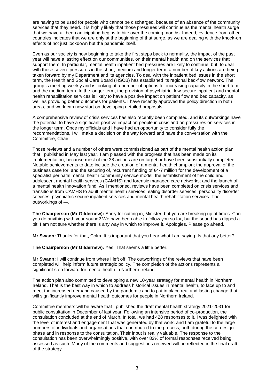are having to be used for people who cannot be discharged, because of an absence of the community services that they need. It is highly likely that those pressures will continue as the mental health surge that we have all been anticipating begins to bite over the coming months. Indeed, evidence from other countries indicates that we are only at the beginning of that surge, as we are dealing with the knock-on effects of not just lockdown but the pandemic itself.

Even as our society is now beginning to take the first steps back to normality, the impact of the past year will have a lasting effect on our communities, on their mental health and on the services that support them. In particular, mental health inpatient bed pressures are likely to continue, but, to deal with those severe pressures in the short, medium and longer term, a number of key actions are being taken forward by my Department and its agencies. To deal with the inpatient bed issues in the short term, the Health and Social Care Board (HSCB) has established its regional bed-flow network. The group is meeting weekly and is looking at a number of options for increasing capacity in the short tem and the medium term. In the longer term, the provision of psychiatric, low-secure inpatient and mental health rehabilitation services is likely to have a positive impact on patient flow and bed capacity, as well as providing better outcomes for patients. I have recently approved the policy direction in both areas, and work can now start on developing detailed proposals.

A comprehensive review of crisis services has also recently been completed, and its outworkings have the potential to have a significant positive impact on people in crisis and on pressures on services in the longer term. Once my officials and I have had an opportunity to consider fully the recommendations, I will make a decision on the way forward and have the conversation with the Committee, Chair.

Those reviews and a number of others were commissioned as part of the mental health action plan that I published in May last year. I am pleased with the progress that has been made on its implementation, because most of the 38 actions are on target or have been substantially completed. Notable achievements to date include the creation of a mental health champion; the approval of the business case for, and the securing of, recurrent funding of £4·7 million for the development of a specialist perinatal mental health community service model; the establishment of the child and adolescent mental health services (CAMHS) and forensic managed care networks; and the launch of a mental health innovation fund. As I mentioned, reviews have been completed on crisis services and transitions from CAMHS to adult mental health services, eating disorder services, personality disorder services, psychiatric secure inpatient services and mental health rehabilitation services. The outworkings of —.

**The Chairperson (Mr Gildernew):** Sorry for cutting in, Minister, but you are breaking up at times. Can you do anything with your sound? We have been able to follow you so far, but the sound has dipped a bit. I am not sure whether there is any way in which to improve it. Apologies. Please go ahead.

**Mr Swann:** Thanks for that, Colm. It is important that you hear what I am saying. Is that any better?

**The Chairperson (Mr Gildernew):** Yes. That seems a little better.

**Mr Swann:** I will continue from where I left off. The outworkings of the reviews that have been completed will help inform future strategic policy. The completion of the actions represents a significant step forward for mental health in Northern Ireland.

The action plan also committed to developing a new 10-year strategy for mental health in Northern Ireland. That is the best way in which to address historical issues in mental health, to face up to and meet the increased demand caused by the pandemic and to put in place real and lasting change that will significantly improve mental health outcomes for people in Northern Ireland.

Committee members will be aware that I published the draft mental health strategy 2021-2031 for public consultation in December of last year. Following an intensive period of co-production, the consultation concluded at the end of March. In total, we had 428 responses to it. I was delighted with the level of interest and engagement that was generated by that work, and I am grateful to the large numbers of individuals and organisations that contributed to the process, both during the co-design phase and in response to the consultation. Their input is really valuable. The response to the consultation has been overwhelmingly positive, with over 82% of formal responses received being assessed as such. Many of the comments and suggestions received will be reflected in the final draft of the strategy.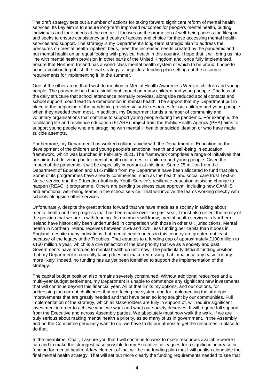The draft strategy sets out a number of actions for taking forward significant reform of mental health services. Its key aim is to ensure long-term improved outcomes for people's mental health, putting individuals and their needs at the centre. It focuses on the promotion of well-being across the lifespan and seeks to ensure consistency and equity of access and choice for those accessing mental health services and support. The strategy is my Department's long-term strategic plan to address the pressures on mental health inpatient beds, meet the increased needs created by the pandemic and put mental health on an equal footing with physical health in this country. I hope that it will bring us into line with mental health provision in other parts of the United Kingdom and, once fully implemented, ensure that Northern Ireland has a world-class mental health system of which to be proud. I hope to be in a position to publish the final strategy, alongside a funding plan setting out the resource requirements for implementing it, in the summer.

One of the other areas that I wish to mention in Mental Health Awareness Week is children and young people. The pandemic has had a significant impact on many children and young people. The loss of the daily structure that school attendance normally provides, alongside reduced social contacts and school support, could lead to a deterioration in mental health. The support that my Department put in place at the beginning of the pandemic provided valuable resources for our children and young people when they needed them most. In addition, my Department funds a number of community and voluntary organisations that continue to support young people during the pandemic. For example, the facilitating life and resilience education (FLARE) project from the Public Health Agency (PHA) aims to support young people who are struggling with mental ill health or suicide ideation or who have made suicide attempts.

Furthermore, my Department has worked collaboratively with the Department of Education on the development of the children and young people's emotional health and well-being in education framework, which was launched in February 2021. The framework comprises a range of initiatives that are aimed at delivering better mental health outcomes for children and young people. Given the impact of the pandemic, it will be especially important at this time. Some £5 million from the Department of Education and £1·5 million from my Department have been allocated to fund that plan. Some of its programmes have already commenced, such as the health and social care trust Text-a-Nurse service and the Education Authority Youth Service's resilience education assisting change to happen (REACH) programme. Others are pending business case approval, including new CAMHS and emotional well-being teams in the school service. That will involve the teams working directly with schools alongside other services.

Unfortunately, despite the great strides forward that we have made as a society in talking about mental health and the progress that has been made over the past year, I must also reflect the reality of the position that we are in with funding. As members will know, mental health services in Northern Ireland have historically been underfunded in comparison with those in other UK jurisdictions. Mental health in Northern Ireland receives between 25% and 30% less funding per capita than it does in England, despite many indications that mental health needs in this country are greater, not least because of the legacy of the Troubles. That equates to a funding gap of approximately £100 million to £150 million a year, which is a dire reflection of the low priority that we as a society and past Governments have afforded to mental health up until now. The particularly difficult funding position that my Department is currently facing does not make redressing that imbalance any easier or any more likely. Indeed, no funding has as yet been identified to support the implementation of the strategy.

The capital budget position also remains severely constrained. Without additional resources and a multi-year Budget settlement, my Department is unable to commence any significant new investments that will continue beyond this financial year. All of that limits my options, and our options, for addressing the current challenges that are facing the system and for implementing the strategic improvements that are greatly needed and that have been so long sought by our communities. Full implementation of the strategy, which all stakeholders are fully in support of, will require significant investment in order to achieve what we want and what our society deserves. It will require full support from the Executive and across Assembly parties. We absolutely must now walk the walk. If we are truly serious about making mental health a priority, as so many of us in government, in the Assembly and on the Committee genuinely want to do, we have to do our utmost to get the resources in place to do that.

In the meantime, Chair, I assure you that I will continue to work to make resources available where I can and to make the strongest case possible to my Executive colleagues for a significant increase in funding for mental health. A key element of that will be the funding plan that I will publish alongside the final mental health strategy. That will set out more clearly the funding requirements needed to see that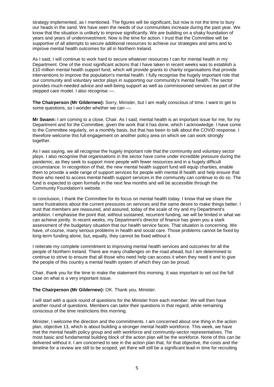strategy implemented, as I mentioned. The figures will be significant, but now is not the time to bury our heads in the sand. We have seen the needs of our communities increase during the past year. We know that the situation is unlikely to improve significantly. We are building on a shaky foundation of years and years of underinvestment. Now is the time for action. I trust that the Committee will be supportive of all attempts to secure additional resources to achieve our strategies and aims and to improve mental health outcomes for all in Northern Ireland.

As I said, I will continue to work hard to secure whatever resources I can for mental health in my Department. One of the most significant actions that I have taken in recent weeks was to establish a £10 million mental health support fund, which will provide grants to charity organisations that provide interventions to improve the population's mental health. I fully recognise the hugely important role that our community and voluntary sector plays in supporting our community's mental health. The sector provides much-needed advice and well-being support as well as commissioned services as part of the stepped care model. I also recognise —.

**The Chairperson (Mr Gildernew):** Sorry, Minister, but I am really conscious of time. I want to get to some questions, so I wonder whether we can —.

**Mr Swann:** I am coming to a close, Chair. As I said, mental health is an important issue for me, for my Department and for the Committee, given the work that it has done, which I acknowledge. I have come to the Committee regularly, on a monthly basis, but that has been to talk about the COVID response. I therefore welcome this full engagement on another policy area on which we can work strongly together.

As I was saying, we all recognise the hugely important role that the community and voluntary sector plays. I also recognise that organisations in the sector have come under incredible pressure during the pandemic, as they seek to support more people with fewer resources and in a hugely difficult circumstance. In recognition of that, the new mental health support fund will equip charities, enable them to provide a wide range of support services for people with mental ill health and help ensure that those who need to access mental health support services in the community can continue to do so. The fund is expected to open formally in the next few months and will be accessible through the Community Foundation's website.

In conclusion, I thank the Committee for its focus on mental health today. I know that we share the same frustrations about the current pressures on services and the same desire to make things better. I trust that members are reassured, and assured, today of the scale of my and my Department's ambition. I emphasise the point that, without sustained, recurrent funding, we will be limited in what we can achieve jointly. In recent weeks, my Department's director of finance has given you a stark assessment of the budgetary situation that our health service faces. That situation is concerning. We have, of course, many serious problems in health and social care. Those problems cannot be fixed by long-term funding alone, but, equally, they cannot be fixed without it.

I reiterate my complete commitment to improving mental health services and outcomes for all the people of Northern Ireland. There are many challenges on the road ahead, but I am determined to continue to strive to ensure that all those who need help can access it when they need it and to give the people of this country a mental health system of which they can be proud.

Chair, thank you for the time to make the statement this morning. It was important to set out the full case on what is a very important issue.

#### **The Chairperson (Mr Gildernew):** OK. Thank you, Minister.

I will start with a quick round of questions for the Minister from each member. We will then have another round of questions. Members can tailor their questions in that regard, while remaining conscious of the time restrictions this morning.

Minister, I welcome the direction and the commitments. I am concerned about one thing in the action plan, objective 13, which is about building a stronger mental health workforce. This week, we have met the mental health policy group and with workforce and community-sector representatives. The most basic and fundamental building block of the action plan will be the workforce. None of this can be delivered without it. I am concerned to see in the action plan that, for that objective, the costs and the timeline for a review are still to be scoped, yet there will still be a significant lead-in time for recruiting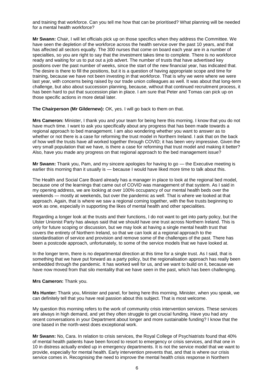and training that workforce. Can you tell me how that can be prioritised? What planning will be needed for a mental health workforce?

**Mr Swann:** Chair, I will let officials pick up on those specifics when they address the Committee. We have seen the depletion of the workforce across the health service over the past 10 years, and that has affected all sectors equally. The 300 nurses that come on board each year are in a number of specialties, so you are right to say that the investment takes time to complete. There is no workforce ready and waiting for us to put out a job advert. The number of trusts that have advertised key positions over the past number of weeks, since the start of the new financial year, has indicated that. The desire is there to fill the positions, but it is a question of having appropriate scope and time for training, because we have not been investing in that workforce. That is why we were where we were last year, with concerns being raised by our trade union colleagues as well. It was about that long-term challenge, but also about succession planning, because, without that continued recruitment process, it has been hard to put that succession plan in place. I am sure that Peter and Tomas can pick up on those specific actions in more detail later.

**The Chairperson (Mr Gildernew):** OK, yes. I will go back to them on that.

**Mrs Cameron:** Minister, I thank you and your team for being here this morning. I know that you do not have much time. I want to ask you specifically about any progress that has been made towards a regional approach to bed management. I am also wondering whether you want to answer as to whether or not there is a case for reforming the trust model in Northern Ireland. I ask that on the back of how well the trusts have all worked together through COVID; it has been very impressive. Given the very small population that we have, is there a case for reforming that trust model and making it better? Also, have you made any progress on that regional approach to the bed management issue?

**Mr Swann:** Thank you, Pam, and my sincere apologies for having to go — the Executive meeting is earlier this morning than it usually is — because I would have liked more time to talk about this.

The Health and Social Care Board already has a manager in place to look at the regional bed model, because one of the learnings that came out of COVID was management of that system. As I said in my opening address, we are looking at over 100% occupancy of our mental health beds over the weekends — mostly at weekends, but over the pandemic as well. That is where we looked at that approach. Again, that is where we saw a regional coming together, with the five trusts beginning to work as one, especially in supporting the likes of mental health and other specialities.

Regarding a longer look at the trusts and their functions, I do not want to get into party policy, but the Ulster Unionist Party has always said that we should have one trust across Northern Ireland. This is only for future scoping or discussion, but we may look at having a single mental health trust that covers the entirety of Northern Ireland, so that we can look at a regional approach to the standardisation of service and provision and remove some of the challenges of the past. There has been a postcode approach, unfortunately, to some of the service models that we have looked at.

In the longer term, there is no departmental direction at this time for a single trust. As I said, that is something that we have put forward as a party policy, but the regionalisation approach has really been embedded through the pandemic. It has worked well for us, and we want to build on it, because we have now moved from that silo mentality that we have seen in the past, which has been challenging.

#### **Mrs Cameron:** Thank you.

**Ms Hunter:** Thank you, Minister and panel, for being here this morning. Minister, when you speak, we can definitely tell that you have real passion about this subject. That is most welcome.

My question this morning refers to the work of community crisis intervention services. These services are always in high demand, and yet they often struggle to get crucial funding. Have you had any recent conversations in your Department about longer and more sustainable funding? I know that the one based in the north-west does exceptional work.

**Mr Swann:** No, Cara. In relation to crisis services, the Royal College of Psychiatrists found that 40% of mental health patients have been forced to resort to emergency or crisis services, and that one in 10 in distress actually ended up in emergency departments. It is not the service model that we want to provide, especially for mental health. Early intervention prevents that, and that is where our crisis service comes in. Recognising the need to improve the mental health crisis response in Northern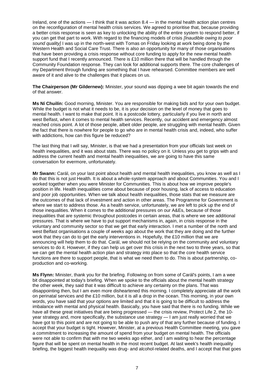Ireland, one of the actions — I think that it was action 8.4 — in the mental health action plan centres on the reconfiguration of mental health crisis services. We agreed to prioritise that, because providing a better crisis response is seen as key to unlocking the ability of the entire system to respond better, if you can get that part to work. With regard to the financing models of crisis *[Inaudible owing to poor sound quality]* I was up in the north-west with Tomas on Friday looking at work being done by the Western Health and Social Care Trust. There is also an opportunity for many of those organisations that have been providing a crisis response without core funding to apply for the new mental health support fund that I recently announced. There is £10 million there that will be handled through the Community Foundation response. They can look for additional supports there. The core challenges of my Department through funding are something that I have rehearsed. Committee members are well aware of it and alive to the challenges that it places on us.

**The Chairperson (Mr Gildernew):** Minister, your sound was dipping a wee bit again towards the end of that answer.

**Ms Ní Chuilín:** Good morning, Minister. You are responsible for making bids and for your own budget. While the budget is not what it needs to be, it is your decision on the level of money that goes to mental health. I want to make that point. It is a postcode lottery, particularly if you live in north and west Belfast, when it comes to mental health services. Recently, our accident and emergency almost reached crisis point. A lot of those people, albeit older people, are struggling with mental health. Given the fact that there is nowhere for people to go who are in mental health crisis and, indeed, who suffer with addictions, how can this figure be reduced?

The last thing that I will say, Minister, is that we had a presentation from your officials last week on health inequalities, and it was about stats. There was no policy on it. Unless you get to grips with and address the current health and mental health inequalities, we are going to have this same conversation for evermore, unfortunately.

**Mr Swann:** Carál, on your last point about health and mental health inequalities, you know as well as I do that this is not just Health. It is about a whole-system approach and about Communities. You and I worked together when you were Minister for Communities. This is about how we improve people's position in life. Health inequalities come about because of poor housing, lack of access to education and poor job opportunities. When we talk about health inequalities, those stats that we measure are the outcomes of that lack of investment and action in other areas. The Programme for Government is where we start to address those. As a health service, unfortunately, we are left to pick up the end of those inequalities. When it comes to the additional pressures on our A&Es, because of those inequalities that are systemic throughout postcodes in certain areas, that is where we see additional pressures. That is where we have to put support mechanisms in, again, in crisis response in the voluntary and community sector so that we get that early interaction. I met a number of the north and west Belfast organisations a couple of weeks ago about the work that they are doing and the further work that they can do to get the early interventions in. Hopefully, the £10 million that we are announcing will help them to do that. Carál, we should not be relying on the community and voluntary services to do it. However, if they can help us get over this crisis in the next two to three years, so that we can get the mental health action plan and strategy into place so that the core health service functions are there to support people, that is what we need them to do. This is about partnership, coproduction and co-working.

**Ms Flynn:** Minister, thank you for the briefing. Following on from some of Carál's points, I am a wee bit disappointed at today's briefing. When we spoke to the officials about the mental health strategy the other week, they said that it was difficult to achieve any certainty on the plans. That was disappointing then, but I am even more disheartened this morning. I completely appreciate all the work on perinatal services and the £10 million, but it is all a drop in the ocean. This morning, in your own words, you have said that your options are limited and that it is going to be difficult to address the imbalance with mental and physical health. Basically, you have said that there is no funding. While we have all these great initiatives that are being progressed — the crisis review, Protect Life 2, the 10 year strategy and, more specifically, the substance use strategy — I am just really worried that we have got to this point and are not going to be able to push any of that any further because of funding. I accept that your budget is tight. However, Minister, at a previous Health Committee meeting, you gave a commitment to increasing the amount of spend from your budget on mental health. The officials were not able to confirm that with me two weeks ago either, and I am waiting to hear the percentage figure that will be spent on mental health in the most recent budget. At last week's health inequality briefing, the biggest health inequality was drug- and alcohol-related deaths, and I accept that that goes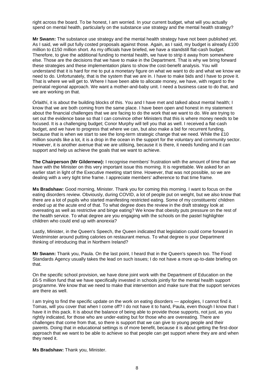right across the board. To be honest, I am worried. In your current budget, what will you actually spend on mental health, particularly on the substance use strategy and the mental health strategy?

**Mr Swann:** The substance use strategy and the mental health strategy have not been published yet. As I said, we will put fully costed proposals against those. Again, as I said, my budget is already £100 million to £150 million short. As my officials have briefed, we have a standstill flat-cash budget. Therefore, to give the additional funding to mental health, we have to strip it away from somewhere else. Those are the decisions that we have to make in the Department. That is why we bring forward these strategies and these implementation plans to show the cost-benefit analysis. You will understand that it is hard for me to put a monetary figure on what we want to do and what we know we need to do. Unfortunately, that is the system that we are in. I have to make bids and I have to prove it. That is where we will get to. Where I have been able to allocate money, we have, with regard to the perinatal regional approach. We want a mother-and-baby unit. I need a business case to do that, and we are working on that.

Órlaithí, it is about the building blocks of this. You and I have met and talked about mental health; I know that we are both coming from the same place. I have been open and honest in my statement about the financial challenges that we are facing to do the work that we want to do. We are trying to set out the evidence base so that I can convince other Ministers that this is where money needs to be focused. It is a challenging budget; Conor Murphy will tell you that as well. I received a flat-cash budget, and we have to progress that where we can, but also make a bid for recurrent funding, because that is when we start to see the long-term strategic change that we need. While the £10 million sounds like a lot, it is a drop in the ocean in the support for the voluntary and community sector. However, it is another avenue that we are utilising, because it is there, it needs funding and it can support and help us achieve the goals that we want to achieve.

**The Chairperson (Mr Gildernew):** I recognise members' frustration with the amount of time that we have with the Minister on this very important issue this morning. It is regrettable. We asked for an earlier start in light of the Executive meeting start time. However, that was not possible, so we are dealing with a very tight time frame. I appreciate members' adherence to that time frame.

**Ms Bradshaw:** Good morning, Minister. Thank you for coming this morning. I want to focus on the eating disorders review. Obviously, during COVID, a lot of people put on weight, but we also know that there are a lot of pupils who started manifesting restricted eating. Some of my constituents' children ended up at the acute end of that. To what degree does the review in the draft strategy look at overeating as well as restrictive and binge eating? We know that obesity puts pressure on the rest of the health service. To what degree are you engaging with the schools on the pastel highlighter children who could end up with anorexia?

Lastly, Minister, in the Queen's Speech, the Queen indicated that legislation could come forward in Westminster around putting calories on restaurant menus. To what degree is your Department thinking of introducing that in Northern Ireland?

**Mr Swann:** Thank you, Paula. On the last point, I heard that in the Queen's speech too. The Food Standards Agency usually takes the lead on such issues; I do not have a more up-to-date briefing on that.

On the specific school provision, we have done joint work with the Department of Education on the £6·5 million fund that we have specifically invested in schools jointly for the mental health support programme. We know that we need to make that intervention and make sure that the support services are there as well.

I am trying to find the specific update on the work on eating disorders — apologies, I cannot find it. Tomas, will you cover that when I come off? I do not have it to hand, Paula, even though I know that I have it in this pack. It is about the balance of being able to provide those supports, not just, as you rightly indicated, for those who are under-eating but for those who are overeating. There are challenges that come from that, so there is support that we can give to young people and their parents. Doing that in educational settings is of more benefit, because it is about getting the first-door approach that we want to be able to achieve so that people can get support where they are and when they need it.

**Ms Bradshaw:** Thank you, Minister.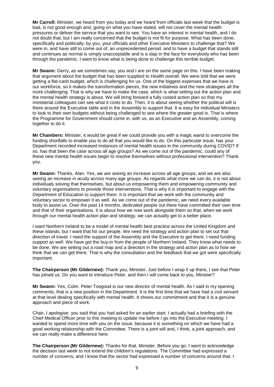**Mr Carroll:** Minister, we heard from you today and we heard from officials last week that the budget is bad, is not good enough and, going on what you have stated, will not cover the mental health pressures or deliver the service that you want to see. You have an interest in mental health, and I do not doubt that, but I am really concerned that the budget is not fit for purpose. What has been done, specifically and politically, by you, your officials and other Executive Ministers to challenge that? We were in, and have still to come out of, an unprecedented period, and to have a budget that stands still and continues as normal is simply unacceptable and is a slap in the face for everybody who has been through the pandemic. I want to know what is being done to challenge this terrible budget.

**Mr Swann:** Gerry, as we sometimes say, you and I are on the same page on this. I have been making that argument about the budget that has been supplied to Health overall. We were told that we were getting a flat-cash budget, which is challenging for us. One of the biggest expenses that we have is our workforce, so it makes the transformation pieces, the new initiatives and the new strategies all the more challenging. That is why we have to make the case, which is what setting out the action plan and the mental health strategy is about. We will bring forward a fully costed action plan so that my ministerial colleagues can see what it costs to do. Then, it is about seeing whether the political will is there around the Executive table and in the Assembly to support that. It is easy for individual Ministers to look to their own budgets without being challenged to see where the greater good is. That is where the Programme for Government should come in, with us, as an Executive and an Assembly, coming together to do it.

**Mr Chambers:** Minister, it would be great if we could provide you with a magic wand to overcome the funding shortfalls to enable you to do all that you would like to do. On this particular issue, has your Department recorded increased instances of mental health issues in the community during COVID? If so, has that been the case across all age groups? As we come out of the pandemic, could any of these new mental health issues begin to resolve themselves without professional intervention? Thank you.

**Mr Swann:** Thanks, Alan. Yes, we are seeing an increase across all age groups, and we are also seeing an increase in acuity across many age groups. As regards what more we can do, it is not about individuals solving that themselves, but about us empowering them and empowering community and voluntary organisations to provide those interventions. That is why it is important to engage with the Department of Education to support them. It is important that we work with the community and voluntary sector to empower it as well. As we come out of the pandemic, we need every available body to assist us. Over the past 14 months, dedicated people out there have committed their own time and that of their organisations. It is about how we now work alongside them so that, when we work through our mental health action plan and strategy, we can actually get to a better place.

I want Northern Ireland to be a model of mental health best practice across the United Kingdom and these islands, but I want that for our people. We need the strategy and action plan to set out that direction of travel. I need the support of the Assembly and the Executive to get there. I need funding support as well. We have got the buy-in from the people of Northern Ireland. They know what needs to be done. We are setting out a road map and a direction in the strategy and action plan as to how we think that we can get there. That is why the consultation and the feedback that we got were specifically important.

**The Chairperson (Mr Gildernew):** Thank you, Minister. Just before I wrap it up there, I see that Peter has joined us. Do you want to introduce Peter, and then I will come back to you, Minister?

**Mr Swann:** Yes, Colm. Peter Toogood is our new director of mental health. As I said in my opening comments, that is a new position in the Department. It is the first time that we have had a civil servant at that level dealing specifically with mental health. It shows our commitment and that it is a genuine approach and piece of work.

Chair, I apologise: you said that you had asked for an earlier start. I actually had a briefing with the Chief Medical Officer prior to this meeting to update me before I go into the Executive meeting. I wanted to spend more time with you on the issue, because it is something on which we have had a good working relationship with the Committee. There is a joint will and, I think, a joint approach, and we can really make a difference here.

**The Chairperson (Mr Gildernew):** Thanks for that, Minister. Before you go, I want to acknowledge the decision last week to not extend the children's regulations. The Committee had expressed a number of concerns, and I know that the sector had expressed a number of concerns around that. I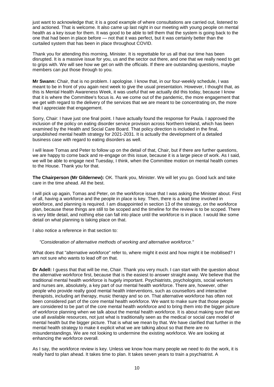just want to acknowledge that; it is a good example of where consultations are carried out, listened to and actioned. That is welcome. It also came up last night in our meeting with young people on mental health as a key issue for them. It was good to be able to tell them that the system is going back to the one that had been in place before — not that it was perfect, but it was certainly better than the curtailed system that has been in place throughout COVID.

Thank you for attending this morning, Minister. It is regrettable for us all that our time has been disrupted. It is a massive issue for you, us and the sector out there, and one that we really need to get to grips with. We will see how we get on with the officials. If there are outstanding questions, maybe members can put those through to you.

**Mr Swann:** Chair, that is no problem. I apologise. I know that, in our four-weekly schedule, I was meant to be in front of you again next week to give the usual presentation. However, I thought that, as this is Mental Health Awareness Week, it was useful that we actually did this today, because I know that it is where the Committee's focus is. As we come out of the pandemic, the more engagement that we get with regard to the delivery of the services that we are meant to be concentrating on, the more that I appreciate that engagement.

Sorry, Chair: I have just one final point. I have actually found the response for Paula. I approved the inclusion of the policy on eating disorder service provision across Northern Ireland, which has been examined by the Health and Social Care Board. That policy direction is included in the final, unpublished mental health strategy for 2021-2031. It is actually the development of a detailed business case with regard to eating disorders as well.

I will leave Tomas and Peter to follow up on the detail of that, Chair, but if there are further questions, we are happy to come back and re-engage on this issue, because it is a large piece of work. As I said, we will be able to engage next Tuesday, I think, when the Committee motion on mental health comes to the House. Thank you for that.

**The Chairperson (Mr Gildernew):** OK. Thank you, Minister. We will let you go. Good luck and take care in the time ahead. All the best.

I will pick up again, Tomas and Peter, on the workforce issue that I was asking the Minister about. First of all, having a workforce and the people in place is key. Then, there is a lead time involved in workforce, and planning is required. I am disappointed in section 13 of the strategy, on the workforce plan, because these things are still to be scoped and the timeline for the review is to be scoped. There is very little detail, and nothing else can fall into place until the workforce is in place. I would like some detail on what planning is taking place on that.

I also notice a reference in that section to:

*"Consideration of alternative methods of working and alternative workforce."*

What does that "alternative workforce" refer to, where might it exist and how might it be mobilised? I am not sure who wants to lead off on that.

**Dr Adell:** I guess that that will be me, Chair. Thank you very much. I can start with the question about the alternative workforce first, because that is the easiest to answer straight away. We believe that the traditional mental health workforce is hugely important. Psychiatrists, psychologists, social workers and nurses are, absolutely, a key part of our mental health workforce. There are, however, other people who provide really good mental health interventions, such as counsellors and interactive therapists, including art therapy, music therapy and so on. That alternative workforce has often not been considered part of the core mental health workforce. We want to make sure that those people are considered to be part of the core mental health workforce and to bring them into the bigger picture of workforce planning when we talk about the mental health workforce. It is about making sure that we use all available resources, not just what is traditionally seen as the medical or social care model of mental health but the bigger picture. That is what we mean by that. We have clarified that further in the mental health strategy to make it explicit what we are talking about so that there are no misunderstandings. We are not looking to undermine the existing workforce. We are looking at enhancing the workforce overall.

As I say, the workforce review is key. Unless we know how many people we need to do the work, it is really hard to plan ahead. It takes time to plan. It takes seven years to train a psychiatrist. A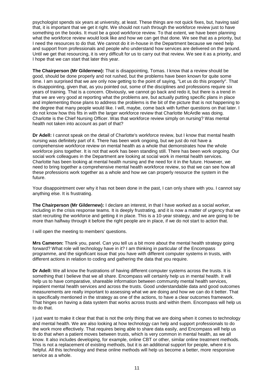psychologist spends six years at university, at least. These things are not quick fixes, but, having said that, it is important that we get it right. We should not rush through the workforce review just to have something on the books. It must be a good workforce review. To that extent, we have been planning what the workforce review would look like and how we can get that done. We see that as a priority, but I need the resources to do that. We cannot do it in-house in the Department because we need help and support from professionals and people who understand how services are delivered on the ground. Until we get that resourcing, it is very difficult for us to carry out that review. We see it as a priority, and I hope that we can start that later this year.

**The Chairperson (Mr Gildernew):** That is disappointing, Tomas. I know that a review should be good, should be done properly and not rushed, but the problems have been known for quite some time. I am surprised that we are only now getting to the point of saying, "Let us do this properly". That is disappointing, given that, as you pointed out, some of the disciplines and professions require six years of training. That is a concern. Obviously, we cannot go back and redo it, but there is a trend in that we are very good at reporting what the problems are, but actually putting specific plans in place and implementing those plans to address the problems is the bit of the picture that is not happening to the degree that many people would like. I will, maybe, come back with further questions on that later. I do not know how this fits in with the larger workforce review that Charlotte McArdle was doing. Charlotte is the Chief Nursing Officer. Was that workforce review simply on nursing? Was mental health not taken into account as part of that?

**Dr Adell:** I cannot speak on the detail of Charlotte's workforce review, but I know that mental health nursing was definitely part of it. There has been work ongoing, but we just do not have a comprehensive workforce review on mental health as a whole that demonstrates how the whole workforce joins together. It is not that work has been standing still. There has been work ongoing. Our social work colleagues in the Department are looking at social work in mental health services. Charlotte has been looking at mental health nursing and the need for it in the future. However, we need to bring together a comprehensive mental health workforce review, so that we can see how all these professions work together as a whole and how we can properly resource the system in the future.

Your disappointment over why it has not been done in the past, I can only share with you. I cannot say anything else. It is frustrating.

**The Chairperson (Mr Gildernew):** I declare an interest, in that I have worked as a social worker, including in the crisis response teams. It is deeply frustrating, and it is now a matter of urgency that we start recruiting the workforce and getting it in place. This is a 10-year strategy, and we are going to be more than halfway through it before the right people are in place, if we do not start to action that.

I will open the meeting to members' questions.

**Mrs Cameron:** Thank you, panel. Can you tell us a bit more about the mental health strategy going forward? What role will technology have in it? I am thinking in particular of the Encompass programme, and the significant issue that you have with different computer systems in trusts, with different actions in relation to coding and gathering the data that you require.

**Dr Adell:** We all know the frustrations of having different computer systems across the trusts. It is something that I believe that we all share. Encompass will certainly help us in mental health. It will help us to have comparative, shareable information between community mental health services, inpatient mental health services and across the trusts. Good understandable data and good outcomes measurements are really important to assessing what we are doing and how we can do it better. That is specifically mentioned in the strategy as one of the actions, to have a clear outcomes framework. That hinges on having a data system that works across trusts and within them. Encompass will help us to do that.

I just want to make it clear that that is not the only thing that we are doing when it comes to technology and mental health. We are also looking at how technology can help and support professionals to do the work more effectively. That requires being able to share data easily, and Encompass will help us to do that when a patient moves between trusts, which is very common in mental health, as we all know. It also includes developing, for example, online CBT or other, similar online treatment methods. This is not a replacement of existing methods, but it is an additional support for people, where it is helpful. All this technology and these online methods will help us become a better, more responsive service as a whole.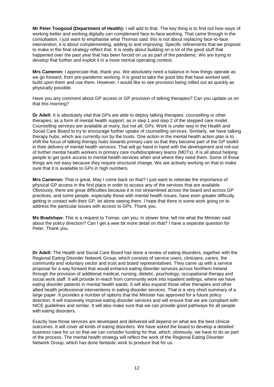**Mr Peter Toogood (Department of Health):** I will add to that. The key thing is to find out how ways of working better and working digitally can complement face-to-face working. That came through in the consultation. I just want to emphasise what Thomas said: this is not about replacing face-to-face intervention; it is about complementing, adding to and improving. Specific refinements that we propose to make in the final strategy reflect that. It is really about building on a lot of the good stuff that happened over the past year that has been forced on us as part of the pandemic. We are trying to develop that further and exploit it in a more normal operating context.

**Mrs Cameron:** I appreciate that, thank you. We absolutely need a balance in how things operate as we go forward, from pre-pandemic working. It is good to take the good bits that have worked well, build upon them and use them. However, I would like to see provision being rolled out as quickly as physically possible.

Have you any comment about GP access or GP provision of talking therapies? Can you update us on that this morning?

**Dr Adell:** It is absolutely vital that GPs are able to deploy talking therapies, counselling or other therapies, as a form of mental health support, as in step 1 and step 2 of the stepped care model. Counselling services are available at many, but not all, GPs. Work is under way in the Health and Social Care Board to try to encourage further uptake of counselling services. Similarly, we have talking therapy hubs, which are currently run by the trusts. One action in the mental health action plan is to shift the focus of talking therapy hubs towards primary care so that they become part of the GP toolkit in their delivery of mental health services. That will go hand in hand with the development and roll-out of further mental health workers in primary care multidisciplinary teams (MDTs). It is all about helping people to get quick access to mental health services when and where they need them. Some of those things are not easy because they require structural change. We are actively working on that to make sure that it is available to GPs in high numbers.

**Mrs Cameron:** That is great. May I come back on that? I just want to reiterate the importance of physical GP access in the first place in order to access any of the services that are available. Obviously, there are great difficulties because it is not streamlined across the board and across GP practices, and some people, especially those with mental health issues, have even greater difficulty getting in contact with their GP, let alone seeing them. I hope that there is some work going on to address the particular issues with access to GPs. Thank you.

**Ms Bradshaw:** This is a request to Tomas: can you, in slower time, tell me what the Minister said about the policy direction? Can I get a wee bit more detail on that? I have a separate question for Peter. Thank you.

**Dr Adell:** The Health and Social Care Board has done a review of eating disorders, together with the Regional Eating Disorder Network Group, which consists of service users, clinicians, carers, the community and voluntary sector and trust and board representatives. They came up with a service proposal for a way forward that would enhance eating disorder services across Northern Ireland through the provision of additional medical, nursing, dietetic, psychology, occupational therapy and social work staff. It will provide in-reach from community work into inpatient settings, where we have eating disorder patients in mental health wards. It will also expand those other therapies and other allied health professional interventions in eating disorder services. That is a very short summary of a large paper. It provides a number of options that the Minister has approved for a future policy direction. It will massively improve eating disorder services and will ensure that we are compliant with NICE guidelines and similar. It will also make sure that we can provide good pathways for all people with eating disorders.

Exactly how those services are developed and delivered will depend on what are the best clinical outcomes. It will cover all kinds of eating disorders. We have asked the board to develop a detailed business case for us so that we can consider funding for that, which, obviously, we have to do as part of the process. The mental health strategy will reflect the work of the Regional Eating Disorder Network Group, which has done fantastic work to produce that for us.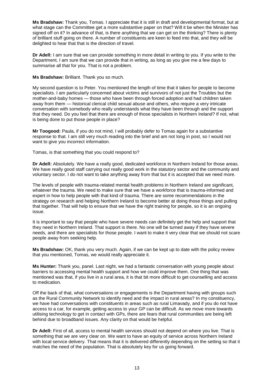**Ms Bradshaw:** Thank you, Tomas. I appreciate that it is still in draft and developmental format, but at what stage can the Committee get a more substantive paper on that? Will it be when the Minister has signed off on it? In advance of that, is there anything that we can get on the thinking? There is plenty of brilliant stuff going on there. A number of constituents are keen to feed into that, and they will be delighted to hear that that is the direction of travel.

**Dr Adell:** I am sure that we can provide something in more detail in writing to you. If you write to the Department, I am sure that we can provide that in writing, as long as you give me a few days to summarise all that for you. That is not a problem.

**Ms Bradshaw:** Brilliant. Thank you so much.

My second question is to Peter. You mentioned the length of time that it takes for people to become specialists. I am particularly concerned about victims and survivors of not just the Troubles but the mother-and-baby homes — those who have been through forced adoption and had children taken away from them — historical clerical child sexual abuse and others, who require a very intricate conversation with somebody who really understands what they have been through and the support that they need. Do you feel that there are enough of those specialists in Northern Ireland? If not, what is being done to put those people in place?

**Mr Toogood:** Paula, if you do not mind, I will probably defer to Tomas again for a substantive response to that. I am still very much reading into the brief and am not long in post, so I would not want to give you incorrect information.

Tomas, is that something that you could respond to?

**Dr Adell:** Absolutely. We have a really good, dedicated workforce in Northern Ireland for those areas. We have really good staff carrying out really good work in the statutory sector and the community and voluntary sector. I do not want to take anything away from that but it is accepted that we need more.

The levels of people with trauma-related mental health problems in Northern Ireland are significant, whatever the trauma. We need to make sure that we have a workforce that is trauma-informed and expert in how to help people with that kind of trauma. There are some recommendations in the strategy on research and helping Northern Ireland to become better at doing those things and pulling that together. That will help to ensure that we have the right training for people, so it is an ongoing issue.

It is important to say that people who have severe needs can definitely get the help and support that they need in Northern Ireland. That support is there. No one will be turned away if they have severe needs, and there are specialists for those people. I want to make it very clear that we should not scare people away from seeking help.

**Ms Bradshaw:** OK, thank you very much. Again, if we can be kept up to date with the policy review that you mentioned, Tomas, we would really appreciate it.

**Ms Hunter:** Thank you, panel. Last night, we had a fantastic conversation with young people about barriers to accessing mental health support and how we could improve them. One thing that was mentioned was that, if you live in a rural area, it is that bit more difficult to get counselling and access to medication.

Off the back of that, what conversations or engagements is the Department having with groups such as the Rural Community Network to identify need and the impact in rural areas? In my constituency, we have had conversations with constituents in areas such as rural Limavady, and if you do not have access to a car, for example, getting access to your GP can be difficult. As we move more towards utilising technology to get in contact with GPs, there are fears that rural communities are being left behind due to broadband issues. Any clarity on that would be helpful.

**Dr Adell:** First of all, access to mental health services should not depend on where you live. That is something that we are very clear on. We want to have an equity of service across Northern Ireland with local service delivery. That means that it is delivered differently depending on the setting so that it matches the need of the population. That is absolutely key for us going forward.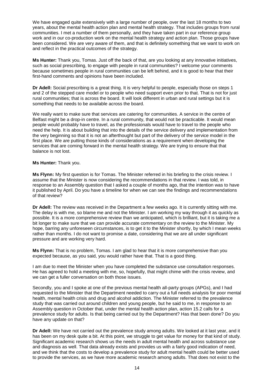We have engaged quite extensively with a large number of people, over the last 18 months to two years, about the mental health action plan and mental health strategy. That includes groups from rural communities. I met a number of them personally, and they have taken part in our reference group work and in our co-production work on the mental health strategy and action plan. Those groups have been considered. We are very aware of them, and that is definitely something that we want to work on and reflect in the practical outcomes of the strategy.

**Ms Hunter:** Thank you, Tomas. Just off the back of that, are you looking at any innovative initiatives, such as social prescribing, to engage with people in rural communities? I welcome your comments because sometimes people in rural communities can be left behind, and it is good to hear that their first-hand comments and opinions have been included.

**Dr Adell:** Social prescribing is a great thing. It is very helpful to people, especially those on steps 1 and 2 of the stepped care model or to people who need support even prior to that. That is not for just rural communities; that is across the board. It will look different in urban and rural settings but it is something that needs to be available across the board.

We really want to make sure that services are catering for communities. A service in the centre of Belfast might be a drop-in centre. In a rural community, that would not be practicable. It would mean people would probably have to travel, as the professionals would have to travel to the people who need the help. It is about building that into the details of the service delivery and implementation from the very beginning so that it is not an afterthought but part of the delivery of the service model in the first place. We are putting those kinds of considerations as a requirement when developing the services that are coming forward in the mental health strategy. We are trying to ensure that that balance is not lost.

#### **Ms Hunter:** Thank you.

**Ms Flynn:** My first question is for Tomas. The Minister referred in his briefing to the crisis review. I assume that the Minister is now considering the recommendations in that review. I was told, in response to an Assembly question that I asked a couple of months ago, that the intention was to have it published by April. Do you have a timeline for when we can see the findings and recommendations of that review?

**Dr Adell:** The review was received in the Department a few weeks ago. It is currently sitting with me. The delay is with me, so blame me and not the Minister. I am working my way through it as quickly as possible. It is a more comprehensive review than we anticipated, which is brilliant, but it is taking me a bit longer to make sure that we can provide accurate commentary on the review to the Minister. My hope, barring any unforeseen circumstances, is to get it to the Minister shortly, by which I mean weeks rather than months. I do not want to promise a date, considering that we are all under significant pressure and are working very hard.

**Ms Flynn:** That is no problem, Tomas. I am glad to hear that it is more comprehensive than you expected because, as you said, you would rather have that. That is a good thing.

I am due to meet the Minister when you have completed the substance use consultation responses. He has agreed to hold a meeting with me, so, hopefully, that might chime with the crisis review, and we can get a fuller conversation on both those issues.

Secondly, you and I spoke at one of the previous mental health all-party groups (APGs), and I had requested to the Minister that the Department needed to carry out a full needs analysis for poor mental health, mental health crisis and drug and alcohol addiction. The Minister referred to the prevalence study that was carried out around children and young people, but he said to me, in response to an Assembly question in October that, under the mental health action plan, action 15.2 calls for a prevalence study for adults. Is that being carried out by the Department? Has that been done? Do you have any update on that?

**Dr Adell:** We have not carried out the prevalence study among adults. We looked at it last year, and it has been on my desk quite a bit. At this point, we struggle to get value for money for that kind of study. Significant academic research shows us the needs in adult mental health and across substance use and diagnosis as well. That data already exists and provides us with a fairly good indication of need, and we think that the costs to develop a prevalence study for adult mental health could be better used to provide the services, as we have more academic research among adults. That does not exist to the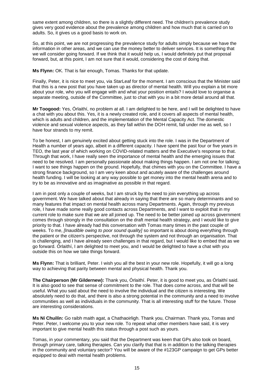same extent among children, so there is a slightly different need. The children's prevalence study gives very good evidence about the prevalence among children and how much that is carried on to adults. So, it gives us a good basis to work on.

So, at this point, we are not progressing the prevalence study for adults simply because we have the information in other areas, and we can use the money better to deliver services. It is something that we will consider going forward. If we think that it would help us, I would definitely put that proposal forward, but, at this point, I am not sure that it would, considering the cost of doing that.

**Ms Flynn:** OK. That is fair enough, Tomas. Thanks for that update.

Finally, Peter, it is nice to meet you, via StarLeaf for the moment. I am conscious that the Minister said that this is a new post that you have taken up as director of mental health. Will you explain a bit more about your role, who you will engage with and what your position entails? I would love to organise a separate meeting, outside of the Committee, just to chat with you in a bit more detail around all that.

**Mr Toogood:** Yes, Órlaithí, no problem at all. I am delighted to be here, and I will be delighted to have a chat with you about this. Yes, it is a newly created role, and it covers all aspects of mental health, which is adults and children, and the implementation of the Mental Capacity Act. The domestic violence and sexual violence aspects, as they fall within the DOH remit, fall under me as well, so I have four strands to my remit.

To be honest, I am genuinely excited about getting stuck into the role. I was in the Department of Health a number of years ago, albeit in a different capacity. I have spent the past four or five years in TEO, the last year of which working on COVID-related matters and the Executive's response to that. Through that work, I have really seen the importance of mental health and the emerging issues that need to be resolved. I am personally passionate about making things happen. I am not one for talking; I want to see things happen on the ground. Hopefully, that chimes with you on the Committee. I have a strong finance background, so I am very keen about and acutely aware of the challenges around health funding. I will be looking at any way possible to get money into the mental health arena and to try to be as innovative and as imaginative as possible in that regard.

I am in post only a couple of weeks, but I am struck by the need to join everything up across government. We have talked about that already in saying that there are so many determinants and so many features that impact on mental health across many Departments. Again, through my previous role, I have made some really good contacts across Departments, and I want to exploit that in my current role to make sure that we are all joined up. The need to be better joined up across government comes through strongly in the consultation on the draft mental health strategy, and I would like to give priority to that. I have already had this conversation with Tomas many times in the past couple of weeks. To me, *[Inaudible owing to poor sound quality]* so important is about doing everything through the patient or the citizen's perspective, not through the system and not through an organisation. That is challenging, and I have already seen challenges in that regard, but I would like to embed that as we go forward. Órlaithí, I am delighted to meet you, and I would be delighted to have a chat with you outside this on how we take things forward.

**Ms Flynn:** That is brilliant, Peter. I wish you all the best in your new role. Hopefully, it will go a long way to achieving that parity between mental and physical health. Thank you.

**The Chairperson (Mr Gildernew):** Thank you, Órlaithí. Peter, it is good to meet you, as Órlaithí said. It is also good to see that sense of commitment to the role. That does come across, and that will be useful. What you said about the need to involve the individual and the citizen is interesting. We absolutely need to do that, and there is also a strong potential in the community and a need to involve communities as well as individuals in the community. That is all interesting stuff for the future. Those are interesting considerations.

**Ms Ní Chuilín:** Go raibh maith agat, a Chathaoirligh. Thank you, Chairman. Thank you, Tomas and Peter. Peter, I welcome you to your new role. To repeat what other members have said, it is very important to give mental health this status through a post such as yours.

Tomas, in your commentary, you said that the Department was keen that GPs also took on board, through primary care, talking therapies. Can you clarify that that is in addition to the talking therapies in the community and voluntary sector? You will be aware of the #123GP campaign to get GPs better equipped to deal with mental health problems.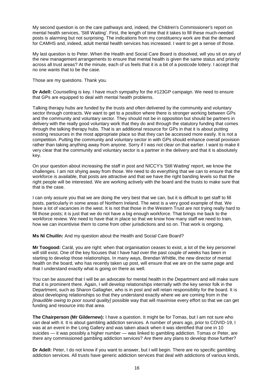My second question is on the care pathways and, indeed, the Children's Commissioner's report on mental health services, 'Still Waiting'. First, the length of time that it takes to fill these much-needed posts is alarming but not surprising. The indications from my constituency work are that the demand for CAMHS and, indeed, adult mental health services has increased. I want to get a sense of those.

My last question is to Peter. When the Health and Social Care Board is dissolved, will you sit on any of the new management arrangements to ensure that mental health is given the same status and priority across all trust areas? At the minute, each of us feels that it is a bit of a postcode lottery. I accept that no one wants that to be the case.

Those are my questions. Thank you.

**Dr Adell:** Counselling is key. I have much sympathy for the #123GP campaign. We need to ensure that GPs are equipped to deal with mental health problems.

Talking therapy hubs are funded by the trusts and often delivered by the community and voluntary sector through contracts. We want to get to a position where there is stronger working between GPs and the community and voluntary sector. They should not be in opposition but should be partners in delivery with the really good voluntary work that they do and through the statutory funding that comes through the talking therapy hubs. That is an additional resource for GPs in that it is about putting existing resources in the most appropriate place so that they can be accessed more easily. It is not a competition. Putting the community and voluntary sector in with GPs should enhance overall provision rather than taking anything away from anyone. Sorry if I was not clear on that earlier. I want to make it very clear that the community and voluntary sector is a partner in the delivery and that it is absolutely key.

On your question about increasing the staff in post and NICCY's 'Still Waiting' report, we know the challenges. I am not shying away from those. We need to do everything that we can to ensure that the workforce is available, that posts are attractive and that we have the right banding levels so that the right people will be interested. We are working actively with the board and the trusts to make sure that that is the case.

I can only assure you that we are doing the very best that we can, but it is difficult to get staff to fill posts, particularly in some areas of Northern Ireland. The west is a very good example of that. We have a lot of vacancies in the west. It is not that those in the Western Trust are not trying really hard to fill those posts; it is just that we do not have a big enough workforce. That brings me back to the workforce review. We need to have that in place so that we know how many staff we need to train, how we can incentivise them to come from other jurisdictions and so on. That work is ongoing.

**Ms Ní Chuilín:** And my question about the Health and Social Care Board?

**Mr Toogood:** Carál, you are right: when that organisation ceases to exist, a lot of the key personnel will still exist. One of the key focuses that I have had over the past couple of weeks has been in starting to develop those relationships. In many ways, Brendan Whittle, the new director of mental health on the board, who has recently taken up post, will ensure that we are on the same page and that I understand exactly what is going on there as well.

You can be assured that I will be an advocate for mental health in the Department and will make sure that it is prominent there. Again, I will develop relationships internally with the key senior folk in the Department, such as Sharon Gallagher, who is in post and will retain responsibility for the board. It is about developing relationships so that they understand exactly where we are coming from in the *[Inaudible owing to poor sound quality]* possible way that will maximise every effort so that we can get funding and resource into that area.

**The Chairperson (Mr Gildernew):** I have a question. It might be for Tomas, but I am not sure who can deal with it. It is about gambling addiction services. A number of years ago, prior to COVID-19, I was at an event in the Long Gallery and was taken aback when it was identified that one in 10 suicides - it was possibly a higher number - was linked to gambling addiction. Tomas or Peter, are there any commissioned gambling addiction services? Are there any plans to develop those further?

**Dr Adell:** Peter, I do not know if you want to answer, but I will begin. There are no specific gambling addiction services. All trusts have generic addiction services that deal with addictions of various kinds,